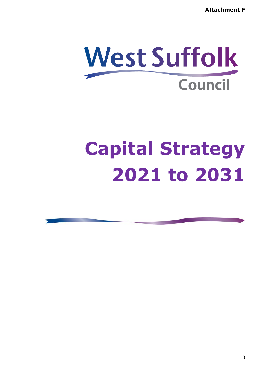**Attachment F**

# **West Suffolk Council**

# **Capital Strategy 2021 to 2031**

0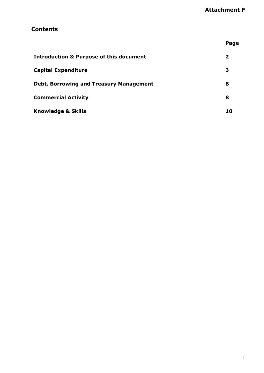## **Contents**

|                                                    | Page |
|----------------------------------------------------|------|
| <b>Introduction &amp; Purpose of this document</b> | 2    |
| <b>Capital Expenditure</b>                         | З    |
| <b>Debt, Borrowing and Treasury Management</b>     | 8    |
| <b>Commercial Activity</b>                         | 8    |
| <b>Knowledge &amp; Skills</b>                      | 10   |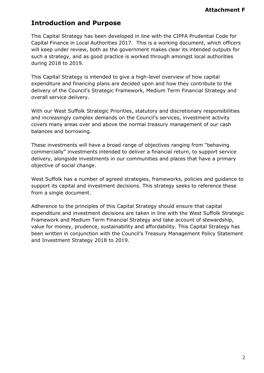# **Introduction and Purpose**

This Capital Strategy has been developed in line with the CIPFA Prudential Code for Capital Finance in Local Authorities 2017. This is a working document, which officers will keep under review, both as the government makes clear its intended outputs for such a strategy, and as good practice is worked through amongst local authorities during 2018 to 2019.

This Capital Strategy is intended to give a high-level overview of how capital expenditure and financing plans are decided upon and how they contribute to the delivery of the Council's Strategic Framework, Medium Term Financial Strategy and overall service delivery.

With our West Suffolk Strategic Priorities, statutory and discretionary responsibilities and increasingly complex demands on the Council's services, investment activity covers many areas over and above the normal treasury management of our cash balances and borrowing.

These investments will have a broad range of objectives ranging from "behaving commercially" investments intended to deliver a financial return, to support service delivery, alongside investments in our communities and places that have a primary objective of social change.

West Suffolk has a number of agreed strategies, frameworks, policies and guidance to support its capital and investment decisions. This strategy seeks to reference these from a single document.

Adherence to the principles of this Capital Strategy should ensure that capital expenditure and investment decisions are taken in line with the West Suffolk Strategic Framework and Medium Term Financial Strategy and take account of stewardship, value for money, prudence, sustainability and affordability. This Capital Strategy has been written in conjunction with the Council's Treasury Management Policy Statement and Investment Strategy 2018 to 2019.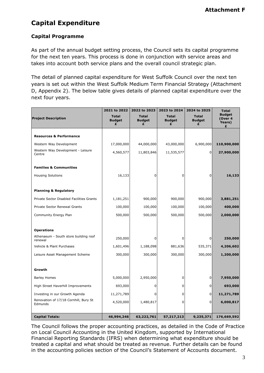# **Capital Expenditure**

### **Capital Programme**

As part of the annual budget setting process, the Council sets its capital programme for the next ten years. This process is done in conjunction with service areas and takes into account both service plans and the overall council strategic plan.

The detail of planned capital expenditure for West Suffolk Council over the next ten years is set out within the West Suffolk Medium Term Financial Strategy (Attachment D, Appendix 2). The below table gives details of planned capital expenditure over the next four years.

|                                                  | 2021 to 2022                       | 2022 to 2023                       | 2023 to 2024                       | 2024 to 2025                       | <b>Total</b>                             |
|--------------------------------------------------|------------------------------------|------------------------------------|------------------------------------|------------------------------------|------------------------------------------|
| <b>Project Description</b>                       | <b>Total</b><br><b>Budget</b><br>£ | <b>Total</b><br><b>Budget</b><br>£ | <b>Total</b><br><b>Budget</b><br>£ | <b>Total</b><br><b>Budget</b><br>£ | <b>Budget</b><br>(Over 4)<br>Years)<br>£ |
|                                                  |                                    |                                    |                                    |                                    |                                          |
| <b>Resources &amp; Performance</b>               |                                    |                                    |                                    |                                    |                                          |
| Western Way Development                          | 17,000,000                         | 44,000,000                         | 43,000,000                         | 6,900,000                          | 110,900,000                              |
| Western Way Development - Leisure<br>Centre      | 4,560,577                          | 11,803,846                         | 11,535,577                         | $\overline{0}$                     | 27,900,000                               |
| <b>Families &amp; Communities</b>                |                                    |                                    |                                    |                                    |                                          |
| <b>Housing Solutions</b>                         | 16,133                             | $\Omega$                           | 0                                  | 0l                                 | 16,133                                   |
| <b>Planning &amp; Regulatory</b>                 |                                    |                                    |                                    |                                    |                                          |
|                                                  |                                    |                                    |                                    |                                    |                                          |
| Private Sector Disabled Facilities Grants        | 1,181,251                          | 900,000                            | 900,000                            | 900,000                            | 3,881,251                                |
| Private Sector Renewal Grants                    | 100,000                            | 100,000                            | 100,000                            | 100,000                            | 400,000                                  |
| Community Energy Plan                            | 500,000                            | 500,000                            | 500,000                            | 500,000                            | 2,000,000                                |
| <b>Operations</b>                                |                                    |                                    |                                    |                                    |                                          |
| Athenaeum - South store building roof<br>renewal | 250,000                            | 0                                  | 0                                  | 0 I                                | 250,000                                  |
| Vehicle & Plant Purchases                        | 1,601,496                          | 1,188,098                          | 881,636                            | 535,371                            | 4,206,602                                |
| Leisure Asset Management Scheme                  | 300,000                            | 300,000                            | 300,000                            | 300,000                            | 1,200,000                                |
| Growth                                           |                                    |                                    |                                    |                                    |                                          |
| <b>Barley Homes</b>                              | 5,000,000                          | 2,950,000                          | 0                                  | $\mathbf 0$                        | 7,950,000                                |
| High Street Haverhill Improvements               | 693,000                            | $\Omega$                           | $\Omega$                           | 0                                  | 693,000                                  |
| Investing in our Growth Agenda                   | 11,271,789                         | $\Omega$                           | $\Omega$                           | $\Omega$                           | 11,271,789                               |
| Renovation of 17/18 Cornhill, Bury St<br>Edmunds | 4,520,000                          | 1,480,817                          | $\Omega$                           | $\Omega$                           | 6,000,817                                |
| <b>Capital Totals:</b>                           | 46,994,246                         | 63,222,761                         | 57,217,213                         | 9,235,371                          | 176,669,592                              |

The Council follows the proper accounting practices, as detailed in the Code of Practice on Local Council Accounting in the United Kingdom, supported by International Financial Reporting Standards (IFRS) when determining what expenditure should be treated a capital and what should be treated as revenue. Further details can be found in the accounting policies section of the Council's Statement of Accounts document.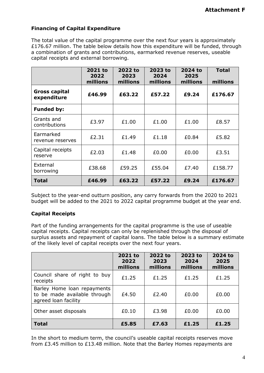#### **Financing of Capital Expenditure**

The total value of the capital programme over the next four years is approximately £176.67 million. The table below details how this expenditure will be funded, through a combination of grants and contributions, earmarked revenue reserves, useable capital receipts and external borrowing.

|                                     | 2021 to<br>2022<br>millions | 2022 to<br>2023<br>millions | 2023 to<br>2024<br>millions | 2024 to<br>2025<br>millions | <b>Total</b><br>millions |
|-------------------------------------|-----------------------------|-----------------------------|-----------------------------|-----------------------------|--------------------------|
| <b>Gross capital</b><br>expenditure | £46.99                      | £63.22                      | £57.22                      | £9.24                       | £176.67                  |
| <b>Funded by:</b>                   |                             |                             |                             |                             |                          |
| Grants and<br>contributions         | £3.97                       | £1.00                       | £1.00                       | £1.00                       | £8.57                    |
| Earmarked<br>revenue reserves       | £2.31                       | £1.49                       | £1.18                       | £0.84                       | £5.82                    |
| Capital receipts<br>reserve         | £2.03                       | £1.48                       | £0.00                       | £0.00                       | £3.51                    |
| External<br>borrowing               | £38.68                      | £59.25                      | £55.04                      | £7.40                       | £158.77                  |
| <b>Total</b>                        | £46.99                      | £63.22                      | £57.22                      | £9.24                       | £176.67                  |

Subject to the year-end outturn position, any carry forwards from the 2020 to 2021 budget will be added to the 2021 to 2022 capital programme budget at the year end.

## **Capital Receipts**

Part of the funding arrangements for the capital programme is the use of useable capital receipts. Capital receipts can only be replenished through the disposal of surplus assets and repayment of capital loans. The table below is a summary estimate of the likely level of capital receipts over the next four years.

|                                                                                     | 2021 to<br>2022<br>millions | 2022 to<br>2023<br>millions | 2023 to<br>2024<br>millions | 2024 to<br>2025<br>millions |
|-------------------------------------------------------------------------------------|-----------------------------|-----------------------------|-----------------------------|-----------------------------|
| Council share of right to buy<br>receipts                                           | £1.25                       | £1.25                       | £1.25                       | £1.25                       |
| Barley Home loan repayments<br>to be made available through<br>agreed loan facility | £4.50                       | £2.40                       | £0.00                       | £0.00                       |
| Other asset disposals                                                               | £0.10                       | £3.98                       | £0.00                       | £0.00                       |
| <b>Total</b>                                                                        | £5.85                       | £7.63                       | £1.25                       | £1.25                       |

In the short to medium term, the council's useable capital receipts reserves move from £3.45 million to £13.48 million. Note that the Barley Homes repayments are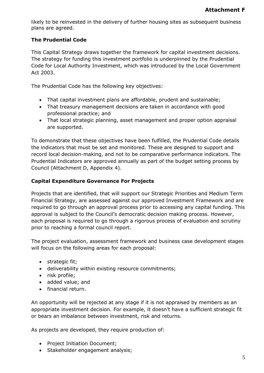likely to be reinvested in the delivery of further housing sites as subsequent business plans are agreed.

### **The Prudential Code**

This Capital Strategy draws together the framework for capital investment decisions. The strategy for funding this investment portfolio is underpinned by the Prudential Code for Local Authority Investment, which was introduced by the Local Government Act 2003.

The Prudential Code has the following key objectives:

- That capital investment plans are affordable, prudent and sustainable;
- That treasury management decisions are taken in accordance with good professional practice; and
- That local strategic planning, asset management and proper option appraisal are supported.

To demonstrate that these objectives have been fulfilled, the Prudential Code details the indicators that must be set and monitored. These are designed to support and record local decision-making, and not to be comparative performance indicators. The Prudential Indicators are approved annually as part of the budget setting process by Council (Attachment D, Appendix 4).

#### **Capital Expenditure Governance For Projects**

Projects that are identified, that will support our Strategic Priorities and Medium Term Financial Strategy, are assessed against our approved Investment Framework and are required to go through an approval process prior to accessing any capital funding. This approval is subject to the Council's democratic decision making process. However, each proposal is required to go through a rigorous process of evaluation and scrutiny prior to reaching a formal council report.

The project evaluation, assessment framework and business case development stages will focus on the following areas for each proposal:

- strategic fit;
- deliverability within existing resource commitments;
- risk profile;
- added value; and
- financial return.

An opportunity will be rejected at any stage if it is not appraised by members as an appropriate investment decision. For example, it doesn't have a sufficient strategic fit or bears an imbalance between investment, risk and returns.

As projects are developed, they require production of:

- Project Initiation Document;
- Stakeholder engagement analysis;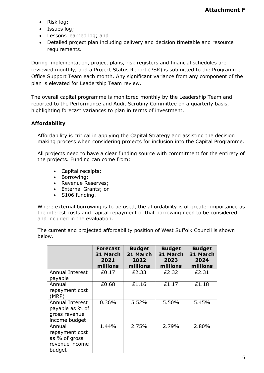- Risk log;
- Issues log;
- Lessons learned log; and
- Detailed project plan including delivery and decision timetable and resource requirements.

During implementation, project plans, risk registers and financial schedules are reviewed monthly, and a Project Status Report (PSR) is submitted to the Programme Office Support Team each month. Any significant variance from any component of the plan is elevated for Leadership Team review.

The overall capital programme is monitored monthly by the Leadership Team and reported to the Performance and Audit Scrutiny Committee on a quarterly basis, highlighting forecast variances to plan in terms of investment.

### **Affordability**

Affordability is critical in applying the Capital Strategy and assisting the decision making process when considering projects for inclusion into the Capital Programme.

All projects need to have a clear funding source with commitment for the entirety of the projects. Funding can come from:

- Capital receipts;
- Borrowing;
- Revenue Reserves;
- External Grants; or
- S106 funding.

Where external borrowing is to be used, the affordability is of greater importance as the interest costs and capital repayment of that borrowing need to be considered and included in the evaluation.

The current and projected affordability position of West Suffolk Council is shown below.

|                                                                       | <b>Forecast</b><br>31 March<br>2021<br>millions | <b>Budget</b><br>31 March<br>2022<br>millions | <b>Budget</b><br>31 March<br>2023<br>millions | <b>Budget</b><br>31 March<br>2024<br>millions |
|-----------------------------------------------------------------------|-------------------------------------------------|-----------------------------------------------|-----------------------------------------------|-----------------------------------------------|
| Annual Interest<br>payable                                            | £0.17                                           | £2.33                                         | £2.32                                         | £2.31                                         |
| Annual<br>repayment cost<br>(MRP)                                     | £0.68                                           | £1.16                                         | £1.17                                         | £1.18                                         |
| Annual Interest<br>payable as % of<br>gross revenue<br>income budget  | 0.36%                                           | 5.52%                                         | 5.50%                                         | 5.45%                                         |
| Annual<br>repayment cost<br>as % of gross<br>revenue income<br>budget | 1.44%                                           | 2.75%                                         | 2.79%                                         | 2.80%                                         |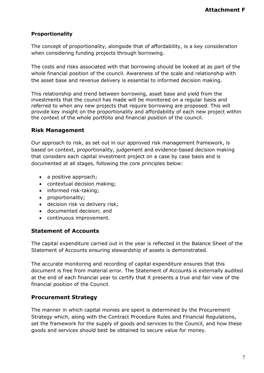## **Proportionality**

The concept of proportionality, alongside that of affordability, is a key consideration when considering funding projects through borrowing.

The costs and risks associated with that borrowing should be looked at as part of the whole financial position of the council. Awareness of the scale and relationship with the asset base and revenue delivery is essential to informed decision making.

This relationship and trend between borrowing, asset base and yield from the investments that the council has made will be monitored on a regular basis and referred to when any new projects that require borrowing are proposed. This will provide key insight on the proportionality and affordability of each new project within the context of the whole portfolio and financial position of the council.

## **Risk Management**

Our approach to risk, as set out in our approved risk management framework, is based on context, proportionality, judgement and evidence-based decision making that considers each capital investment project on a case by case basis and is documented at all stages, following the core principles below:

- a positive approach;
- contextual decision making;
- informed risk-taking;
- proportionality;
- decision risk vs delivery risk;
- documented decision; and
- continuous improvement.

#### **Statement of Accounts**

The capital expenditure carried out in the year is reflected in the Balance Sheet of the Statement of Accounts ensuring stewardship of assets is demonstrated.

The accurate monitoring and recording of capital expenditure ensures that this document is free from material error. The Statement of Accounts is externally audited at the end of each financial year to certify that it presents a true and fair view of the financial position of the Council.

#### **Procurement Strategy**

The manner in which capital monies are spent is determined by the Procurement Strategy which, along with the Contract Procedure Rules and Financial Regulations, set the framework for the supply of goods and services to the Council, and how these goods and services should best be obtained to secure value for money.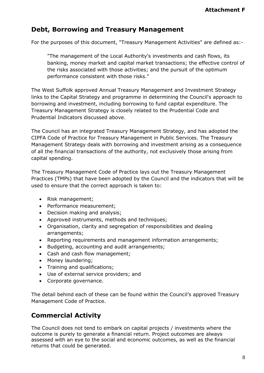# **Debt, Borrowing and Treasury Management**

For the purposes of this document, "Treasury Management Activities" are defined as:-

"The management of the Local Authority's investments and cash flows, its banking, money market and capital market transactions; the effective control of the risks associated with those activities; and the pursuit of the optimum performance consistent with those risks."

The West Suffolk approved Annual Treasury Management and Investment Strategy links to the Capital Strategy and programme in determining the Council's approach to borrowing and investment, including borrowing to fund capital expenditure. The Treasury Management Strategy is closely related to the Prudential Code and Prudential Indicators discussed above.

The Council has an integrated Treasury Management Strategy, and has adopted the CIPFA Code of Practice for Treasury Management in Public Services. The Treasury Management Strategy deals with borrowing and investment arising as a consequence of all the financial transactions of the authority, not exclusively those arising from capital spending.

The Treasury Management Code of Practice lays out the Treasury Management Practices (TMPs) that have been adopted by the Council and the indicators that will be used to ensure that the correct approach is taken to:

- Risk management;
- Performance measurement;
- Decision making and analysis;
- Approved instruments, methods and techniques;
- Organisation, clarity and segregation of responsibilities and dealing arrangements;
- Reporting requirements and management information arrangements;
- Budgeting, accounting and audit arrangements;
- Cash and cash flow management;
- Money laundering;
- Training and qualifications;
- Use of external service providers; and
- Corporate governance.

The detail behind each of these can be found within the Council's approved Treasury Management Code of Practice.

# **Commercial Activity**

The Council does not tend to embark on capital projects / investments where the outcome is purely to generate a financial return. Project outcomes are always assessed with an eye to the social and economic outcomes, as well as the financial returns that could be generated.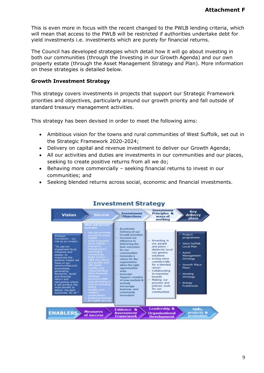This is even more in focus with the recent changed to the PWLB lending criteria, which will mean that access to the PWLB will be restricted if authorities undertake debt for yield investments i.e. investments which are purely for financial returns.

The Council has developed strategies which detail how it will go about investing in both our communities (through the Investing in our Growth Agenda) and our own property estate (through the Asset Management Strategy and Plan). More information on these strategies is detailed below.

#### **Growth Investment Strategy**

This strategy covers investments in projects that support our Strategic Framework priorities and objectives, particularly around our growth priority and fall outside of standard treasury management activities.

This strategy has been devised in order to meet the following aims:

- Ambitious vision for the towns and rural communities of West Suffolk, set out in the Strategic Framework 2020-2024;
- Delivery on capital and revenue investment to deliver our Growth Agenda;
- All our activities and duties are investments in our communities and our places, seeking to create positive returns from all we do;
- Behaving more commercially seeking financial returns to invest in our communities; and
- Seeking blended returns across social, economic and financial investments.



#### **Investment Strategy**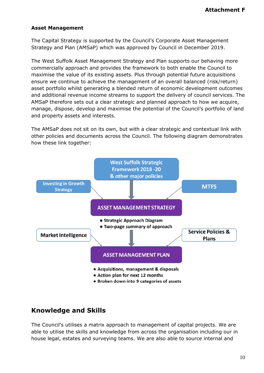#### **Asset Management**

The Capital Strategy is supported by the Council's Corporate Asset Management Strategy and Plan (AMSaP) which was approved by Council in December 2019.

The West Suffolk Asset Management Strategy and Plan supports our behaving more commercially approach and provides the framework to both enable the Council to maximise the value of its existing assets. Plus through potential future acquisitions ensure we continue to achieve the management of an overall balanced (risk/return) asset portfolio whilst generating a blended return of economic development outcomes and additional revenue income streams to support the delivery of council services. The AMSaP therefore sets out a clear strategic and planned approach to how we acquire, manage, dispose, develop and maximise the potential of the Council's portfolio of land and property assets and interests.

The AMSaP does not sit on its own, but with a clear strategic and contextual link with other policies and documents across the Council. The following diagram demonstrates how these link together:



# **Knowledge and Skills**

The Council's utilises a matrix approach to management of capital projects. We are able to utilise the skills and knowledge from across the organisation including our in house legal, estates and surveying teams. We are also able to source internal and